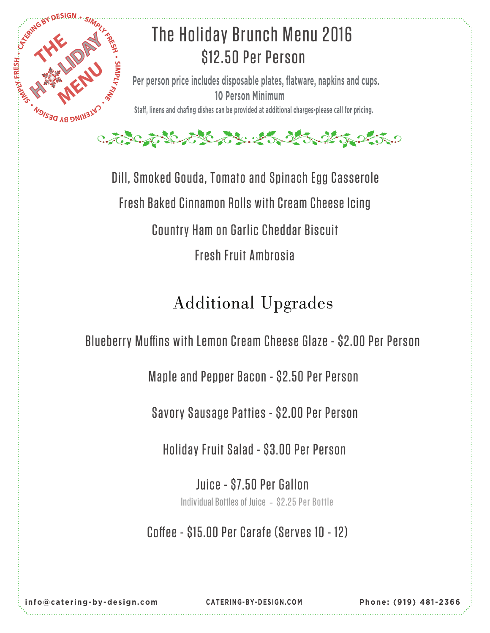



Dill, Smoked Gouda, Tomato and Spinach Egg Casserole Fresh Baked Cinnamon Rolls with Cream Cheese Icing Country Ham on Garlic Cheddar Biscuit Fresh Fruit Ambrosia

## Additional Upgrades

Blueberry Muffins with Lemon Cream Cheese Glaze - \$2.00 Per Person

Maple and Pepper Bacon - \$2.50 Per Person

Savory Sausage Patties - \$2.00 Per Person

Holiday Fruit Salad - \$3.00 Per Person

Juice - \$7.50 Per Gallon Individual Bottles of Juice - \$2.25 Per Bottle

Coffee - \$15.00 Per Carafe (Serves 10 - 12)

**info@catering-by-design.com CATERING-BY-DESIGN.C OM Phone: (919) 481 -2366**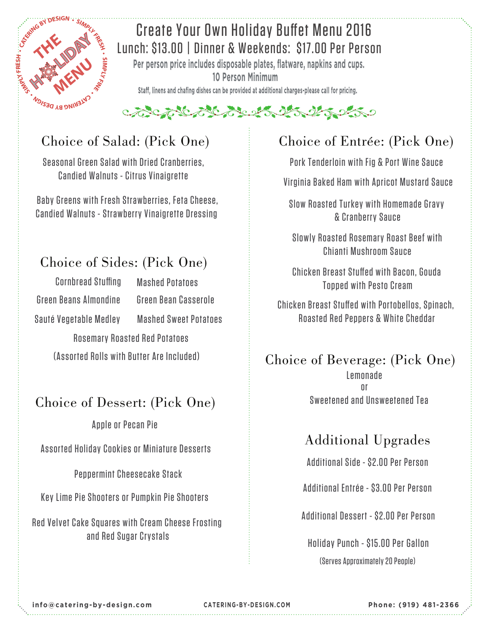

#### Create Your Own Holiday Buffet Menu 2016 Lunch: \$13.00 | Dinner & Weekends: \$17.00 Per Person

**Per person price includes disposable plates, flatware, napkins and cups. 10 Person Minimum**

Staff, linens and chafing dishes can be provided at additional charges-please call for pricing.

#### こでこんにんとんというようなのかっ

Seasonal Green Salad with Dried Cranberries, Candied Walnuts - Citrus Vinaigrette

Baby Greens with Fresh Strawberries, Feta Cheese, Candied Walnuts - Strawberry Vinaigrette Dressing

#### Choice of Sides: (Pick One)

 Green Beans Almondine Cornbread Stuffing Sauté Vegetable Medley Mashed Sweet Potatoes

Mashed Potatoes Green Bean Casserole

 Rosemary Roasted Red Potatoes (Assorted Rolls with Butter Are Included)

#### Choice of Dessert: (Pick One)

Apple or Pecan Pie

Assorted Holiday Cookies or Miniature Desserts

Peppermint Cheesecake Stack

Key Lime Pie Shooters or Pumpkin Pie Shooters

Red Velvet Cake Squares with Cream Cheese Frosting and Red Sugar Crystals

### Choice of Salad: (Pick One) Choice of Entrée: (Pick One)

Pork Tenderloin with Fig & Port Wine Sauce

Virginia Baked Ham with Apricot Mustard Sauce

Slow Roasted Turkey with Homemade Gravy & Cranberry Sauce

Slowly Roasted Rosemary Roast Beef with Chianti Mushroom Sauce

Chicken Breast Stuffed with Bacon, Gouda Topped with Pesto Cream

Chicken Breast Stuffed with Portobellos, Spinach, Roasted Red Peppers & White Cheddar

#### Choice of Beverage: (Pick One)

or Lemonade Sweetened and Unsweetened Tea

#### Additional Upgrades

Additional Side - \$2.00 Per Person

Additional Entrée - \$3.00 Per Person

Additional Dessert - \$2.00 Per Person

Holiday Punch - \$15.00 Per Gallon (Serves Approximately 20 People)

**info@catering-by-design.com**